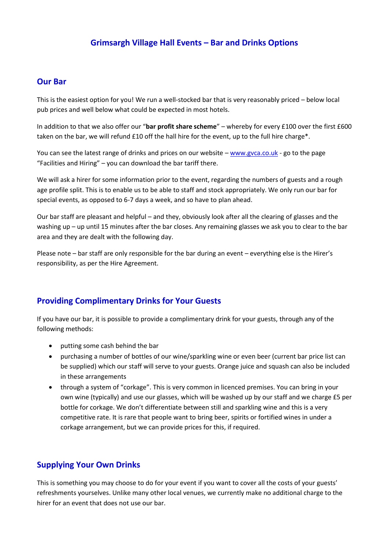## **Grimsargh Village Hall Events – Bar and Drinks Options**

## **Our Bar**

This is the easiest option for you! We run a well-stocked bar that is very reasonably priced – below local pub prices and well below what could be expected in most hotels.

In addition to that we also offer our "**bar profit share scheme**" – whereby for every £100 over the first £600 taken on the bar, we will refund £10 off the hall hire for the event, up to the full hire charge\*.

You can see the latest range of drinks and prices on our website – [www.gvca.co.uk](http://www.gvca.co.uk/) - go to the page "Facilities and Hiring" – you can download the bar tariff there.

We will ask a hirer for some information prior to the event, regarding the numbers of guests and a rough age profile split. This is to enable us to be able to staff and stock appropriately. We only run our bar for special events, as opposed to 6-7 days a week, and so have to plan ahead.

Our bar staff are pleasant and helpful – and they, obviously look after all the clearing of glasses and the washing up – up until 15 minutes after the bar closes. Any remaining glasses we ask you to clear to the bar area and they are dealt with the following day.

Please note – bar staff are only responsible for the bar during an event – everything else is the Hirer's responsibility, as per the Hire Agreement.

## **Providing Complimentary Drinks for Your Guests**

If you have our bar, it is possible to provide a complimentary drink for your guests, through any of the following methods:

- putting some cash behind the bar
- purchasing a number of bottles of our wine/sparkling wine or even beer (current bar price list can be supplied) which our staff will serve to your guests. Orange juice and squash can also be included in these arrangements
- through a system of "corkage". This is very common in licenced premises. You can bring in your own wine (typically) and use our glasses, which will be washed up by our staff and we charge £5 per bottle for corkage. We don't differentiate between still and sparkling wine and this is a very competitive rate. It is rare that people want to bring beer, spirits or fortified wines in under a corkage arrangement, but we can provide prices for this, if required.

## **Supplying Your Own Drinks**

This is something you may choose to do for your event if you want to cover all the costs of your guests' refreshments yourselves. Unlike many other local venues, we currently make no additional charge to the hirer for an event that does not use our bar.